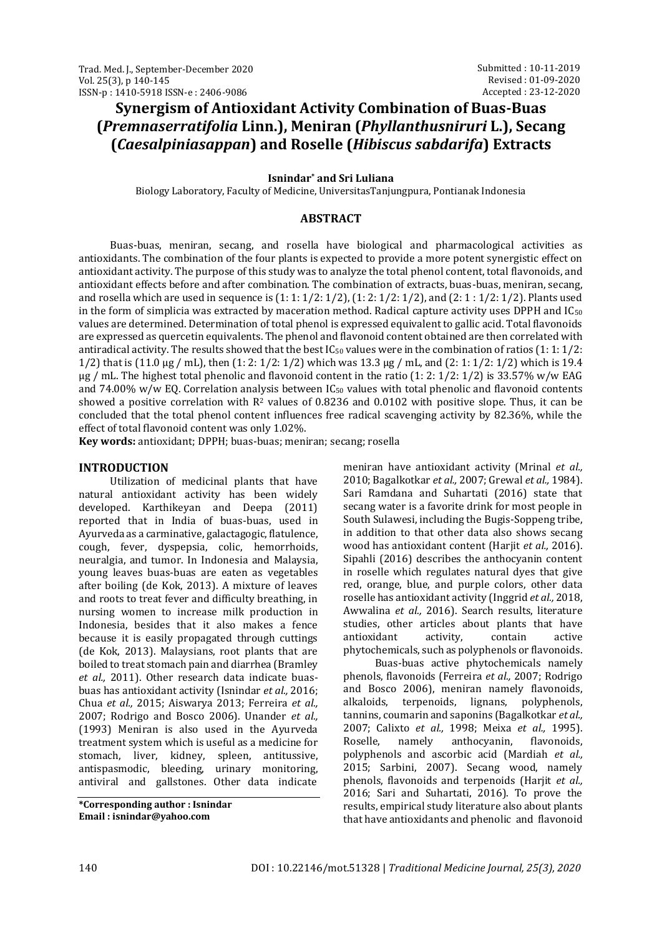# **Synergism of Antioxidant Activity Combination of Buas-Buas (***Premnaserratifolia* **Linn.), Meniran (***Phyllanthusniruri* **L.), Secang (***Caesalpiniasappan***) and Roselle (***Hibiscus sabdarifa***) Extracts**

#### **Isnindar\* and Sri Luliana**

Biology Laboratory, Faculty of Medicine, UniversitasTanjungpura, Pontianak Indonesia

#### **ABSTRACT**

Buas-buas, meniran, secang, and rosella have biological and pharmacological activities as antioxidants. The combination of the four plants is expected to provide a more potent synergistic effect on antioxidant activity. The purpose of this study was to analyze the total phenol content, total flavonoids, and antioxidant effects before and after combination. The combination of extracts, buas-buas, meniran, secang, and rosella which are used in sequence is (1: 1: 1/2: 1/2), (1: 2: 1/2: 1/2), and (2: 1 : 1/2: 1/2). Plants used in the form of simplicia was extracted by maceration method. Radical capture activity uses DPPH and IC<sub>50</sub> values are determined. Determination of total phenol is expressed equivalent to gallic acid. Total flavonoids are expressed as quercetin equivalents. The phenol and flavonoid content obtained are then correlated with antiradical activity. The results showed that the best  $IC_{50}$  values were in the combination of ratios (1: 1: 1/2: 1/2) that is (11.0 µg / mL), then (1: 2: 1/2: 1/2) which was 13.3 µg / mL, and (2: 1: 1/2: 1/2) which is 19.4  $\mu$ g / mL. The highest total phenolic and flavonoid content in the ratio (1: 2: 1/2: 1/2) is 33.57% w/w EAG and 74.00% w/w EQ. Correlation analysis between  $IC_{50}$  values with total phenolic and flavonoid contents showed a positive correlation with  $R^2$  values of 0.8236 and 0.0102 with positive slope. Thus, it can be concluded that the total phenol content influences free radical scavenging activity by 82.36%, while the effect of total flavonoid content was only 1.02%.

**Key words:** antioxidant; DPPH; buas-buas; meniran; secang; rosella

#### **INTRODUCTION**

Utilization of medicinal plants that have natural antioxidant activity has been widely developed. Karthikeyan and Deepa (2011) reported that in India of buas-buas, used in Ayurveda as a carminative, galactagogic, flatulence, cough, fever, dyspepsia, colic, hemorrhoids, neuralgia, and tumor. In Indonesia and Malaysia, young leaves buas-buas are eaten as vegetables after boiling (de Kok, 2013). A mixture of leaves and roots to treat fever and difficulty breathing, in nursing women to increase milk production in Indonesia, besides that it also makes a fence because it is easily propagated through cuttings (de Kok, 2013). Malaysians, root plants that are boiled to treat stomach pain and diarrhea (Bramley *et al.,* 2011). Other research data indicate buasbuas has antioxidant activity (Isnindar *et al.,* 2016; Chua *et al.,* 2015; Aiswarya 2013; Ferreira *et al.,* 2007; Rodrigo and Bosco 2006). Unander *et al.,* (1993) Meniran is also used in the Ayurveda treatment system which is useful as a medicine for stomach, liver, kidney, spleen, antitussive, antispasmodic, bleeding, urinary monitoring, antiviral and gallstones. Other data indicate

**\*Corresponding author : Isnindar Email : isnindar@yahoo.com**

meniran have antioxidant activity (Mrinal *et al.,* 2010; Bagalkotkar *et al.,* 2007; Grewal *et al.,* 1984). Sari Ramdana and Suhartati (2016) state that secang water is a favorite drink for most people in South Sulawesi, including the Bugis-Soppeng tribe, in addition to that other data also shows secang wood has antioxidant content (Harjit *et al.,* 2016). Sipahli (2016) describes the anthocyanin content in roselle which regulates natural dyes that give red, orange, blue, and purple colors, other data roselle has antioxidant activity (Inggrid *et al.,* 2018, Awwalina *et al.,* 2016). Search results, literature studies, other articles about plants that have antioxidant activity, contain active phytochemicals, such as polyphenols or flavonoids.

Buas-buas active phytochemicals namely phenols, flavonoids (Ferreira *et al.,* 2007; Rodrigo and Bosco 2006), meniran namely flavonoids, alkaloids, terpenoids, lignans, polyphenols, tannins, coumarin and saponins (Bagalkotkar *et al.,* 2007; Calixto *et al.,* 1998; Meixa *et al.,* 1995). Roselle, namely anthocyanin, flavonoids, polyphenols and ascorbic acid (Mardiah *et al.,* 2015; Sarbini, 2007). Secang wood, namely phenols, flavonoids and terpenoids (Harjit *et al.,* 2016; Sari and Suhartati, 2016). To prove the results, empirical study literature also about plants that have antioxidants and phenolic and flavonoid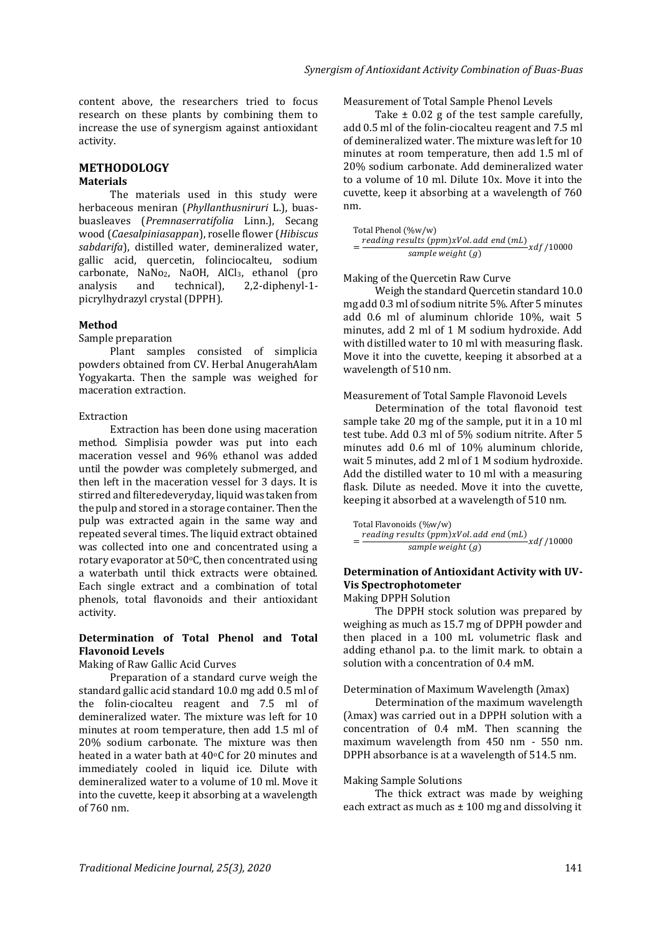content above, the researchers tried to focus research on these plants by combining them to increase the use of synergism against antioxidant activity.

#### **METHODOLOGY Materials**

The materials used in this study were herbaceous meniran (*Phyllanthusniruri* L.), buasbuasleaves (*Premnaserratifolia* Linn.), Secang wood (*Caesalpiniasappan*), roselle flower (*Hibiscus sabdarifa*), distilled water, demineralized water, gallic acid, quercetin, folinciocalteu, sodium carbonate, NaNo<sub>2</sub>, NaOH, AlCl<sub>3</sub>, ethanol (pro analysis and technical), 2,2-diphenyl-1 picrylhydrazyl crystal (DPPH).

#### **Method**

Sample preparation

Plant samples consisted of simplicia powders obtained from CV. Herbal AnugerahAlam Yogyakarta. Then the sample was weighed for maceration extraction.

## Extraction

Extraction has been done using maceration method. Simplisia powder was put into each maceration vessel and 96% ethanol was added until the powder was completely submerged, and then left in the maceration vessel for 3 days. It is stirred and filteredeveryday, liquid was taken from the pulp and stored in a storage container. Then the pulp was extracted again in the same way and repeated several times. The liquid extract obtained was collected into one and concentrated using a rotary evaporator at 50oC, then concentrated using a waterbath until thick extracts were obtained. Each single extract and a combination of total phenols, total flavonoids and their antioxidant activity.

## **Determination of Total Phenol and Total Flavonoid Levels**

Making of Raw Gallic Acid Curves

Preparation of a standard curve weigh the standard gallic acid standard 10.0 mg add 0.5 ml of the folin-ciocalteu reagent and 7.5 ml of demineralized water. The mixture was left for 10 minutes at room temperature, then add 1.5 ml of 20% sodium carbonate. The mixture was then heated in a water bath at  $40^{\circ}$ C for 20 minutes and immediately cooled in liquid ice. Dilute with demineralized water to a volume of 10 ml. Move it into the cuvette, keep it absorbing at a wavelength of 760 nm.

Measurement of Total Sample Phenol Levels

Take ± 0.02 g of the test sample carefully, add 0.5 ml of the folin-ciocalteu reagent and 7.5 ml of demineralized water. The mixture was left for 10 minutes at room temperature, then add 1.5 ml of 20% sodium carbonate. Add demineralized water to a volume of 10 ml. Dilute 10x. Move it into the cuvette, keep it absorbing at a wavelength of 760 nm.

Total Phenol (%w/w)  $=\frac{reading results (ppm)xVol.add end (ml)}{sample weight (c)} xdf/10000$ sample weight  $(g)$ 

#### Making of the Quercetin Raw Curve

Weigh the standard Quercetin standard 10.0 mg add 0.3 ml of sodium nitrite 5%. After 5 minutes add 0.6 ml of aluminum chloride 10%, wait 5 minutes, add 2 ml of 1 M sodium hydroxide. Add with distilled water to 10 ml with measuring flask. Move it into the cuvette, keeping it absorbed at a wavelength of 510 nm.

#### Measurement of Total Sample Flavonoid Levels

Determination of the total flavonoid test sample take 20 mg of the sample, put it in a 10 ml test tube. Add 0.3 ml of 5% sodium nitrite. After 5 minutes add 0.6 ml of 10% aluminum chloride, wait 5 minutes, add 2 ml of 1 M sodium hydroxide. Add the distilled water to 10 ml with a measuring flask. Dilute as needed. Move it into the cuvette, keeping it absorbed at a wavelength of 510 nm.

Total Flavonoids (%w/w)  $=\frac{reading results (ppm)xVol.add end (ml)}{sumuleunit (n)} xdf/10000$ sample weight  $(q)$ 

# **Determination of Antioxidant Activity with UV-Vis Spectrophotometer**

Making DPPH Solution

The DPPH stock solution was prepared by weighing as much as 15.7 mg of DPPH powder and then placed in a 100 mL volumetric flask and adding ethanol p.a. to the limit mark. to obtain a solution with a concentration of 0.4 mM.

#### Determination of Maximum Wavelength (λmax)

Determination of the maximum wavelength (λmax) was carried out in a DPPH solution with a concentration of 0.4 mM. Then scanning the maximum wavelength from 450 nm - 550 nm. DPPH absorbance is at a wavelength of 514.5 nm.

#### Making Sample Solutions

The thick extract was made by weighing each extract as much as  $\pm$  100 mg and dissolving it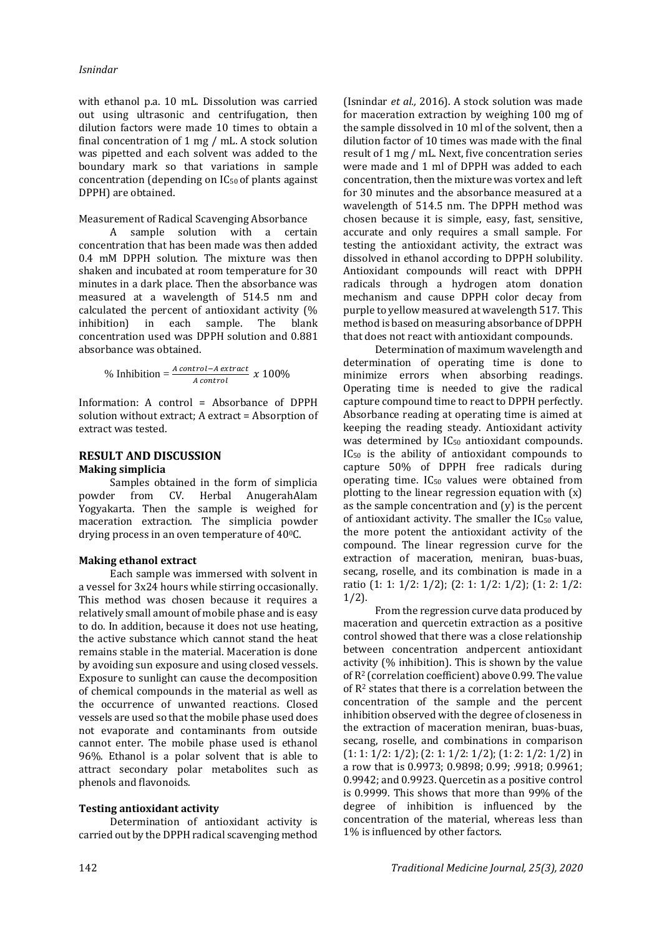with ethanol p.a. 10 mL. Dissolution was carried out using ultrasonic and centrifugation, then dilution factors were made 10 times to obtain a final concentration of 1 mg / mL. A stock solution was pipetted and each solvent was added to the boundary mark so that variations in sample concentration (depending on IC50 of plants against DPPH) are obtained.

#### Measurement of Radical Scavenging Absorbance

A sample solution with a certain concentration that has been made was then added 0.4 mM DPPH solution. The mixture was then shaken and incubated at room temperature for 30 minutes in a dark place. Then the absorbance was measured at a wavelength of 514.5 nm and calculated the percent of antioxidant activity (% inhibition) in each sample. The blank concentration used was DPPH solution and 0.881 absorbance was obtained.

$$
\% Inhibition = \frac{A \, control - A \, extract}{A \, control} \, x \, 100\%
$$

Information: A control = Absorbance of DPPH Information : solution without extract; A extract = Absorption of extract was tested.

#### **RESULT AND DISCUSSION Making simplicia**

Samples obtained in the form of simplicia powder from CV. Herbal AnugerahAlam Yogyakarta. Then the sample is weighed for maceration extraction. The simplicia powder drying process in an oven temperature of 400C.

#### **Making ethanol extract**

Each sample was immersed with solvent in a vessel for 3x24 hours while stirring occasionally. This method was chosen because it requires a relatively small amount of mobile phase and is easy to do. In addition, because it does not use heating, the active substance which cannot stand the heat remains stable in the material. Maceration is done by avoiding sun exposure and using closed vessels. Exposure to sunlight can cause the decomposition of chemical compounds in the material as well as the occurrence of unwanted reactions. Closed vessels are used so that the mobile phase used does not evaporate and contaminants from outside cannot enter. The mobile phase used is ethanol 96%. Ethanol is a polar solvent that is able to attract secondary polar metabolites such as phenols and flavonoids.

#### **Testing antioxidant activity**

Determination of antioxidant activity is carried out by the DPPH radical scavenging method

(Isnindar *et al.,* 2016). A stock solution was made for maceration extraction by weighing 100 mg of the sample dissolved in 10 ml of the solvent, then a dilution factor of 10 times was made with the final result of 1 mg / mL. Next, five concentration series were made and 1 ml of DPPH was added to each concentration, then the mixture was vortex and left for 30 minutes and the absorbance measured at a wavelength of 514.5 nm. The DPPH method was chosen because it is simple, easy, fast, sensitive, accurate and only requires a small sample. For testing the antioxidant activity, the extract was dissolved in ethanol according to DPPH solubility. Antioxidant compounds will react with DPPH radicals through a hydrogen atom donation mechanism and cause DPPH color decay from purple to yellow measured at wavelength 517. This method is based on measuring absorbance of DPPH that does not react with antioxidant compounds.

Determination of maximum wavelength and determination of operating time is done to minimize errors when absorbing readings. Operating time is needed to give the radical capture compound time to react to DPPH perfectly. Absorbance reading at operating time is aimed at keeping the reading steady. Antioxidant activity was determined by IC<sub>50</sub> antioxidant compounds. IC<sup>50</sup> is the ability of antioxidant compounds to capture 50% of DPPH free radicals during operating time. IC<sup>50</sup> values were obtained from plotting to the linear regression equation with (x) as the sample concentration and (y) is the percent of antioxidant activity. The smaller the IC<sup>50</sup> value, the more potent the antioxidant activity of the compound. The linear regression curve for the extraction of maceration, meniran, buas-buas, secang, roselle, and its combination is made in a ratio (1: 1: 1/2: 1/2); (2: 1: 1/2: 1/2); (1: 2: 1/2: 1/2).

From the regression curve data produced by maceration and quercetin extraction as a positive control showed that there was a close relationship between concentration andpercent antioxidant activity (% inhibition). This is shown by the value of R<sup>2</sup> (correlation coefficient) above 0.99. The value of R<sup>2</sup> states that there is a correlation between the concentration of the sample and the percent inhibition observed with the degree of closeness in the extraction of maceration meniran, buas-buas, secang, roselle, and combinations in comparison (1: 1: 1/2: 1/2); (2: 1: 1/2: 1/2); (1: 2: 1/2: 1/2) in a row that is 0.9973; 0.9898; 0.99; .9918; 0.9961; 0.9942; and 0.9923. Quercetin as a positive control is 0.9999. This shows that more than 99% of the degree of inhibition is influenced by the concentration of the material, whereas less than 1% is influenced by other factors.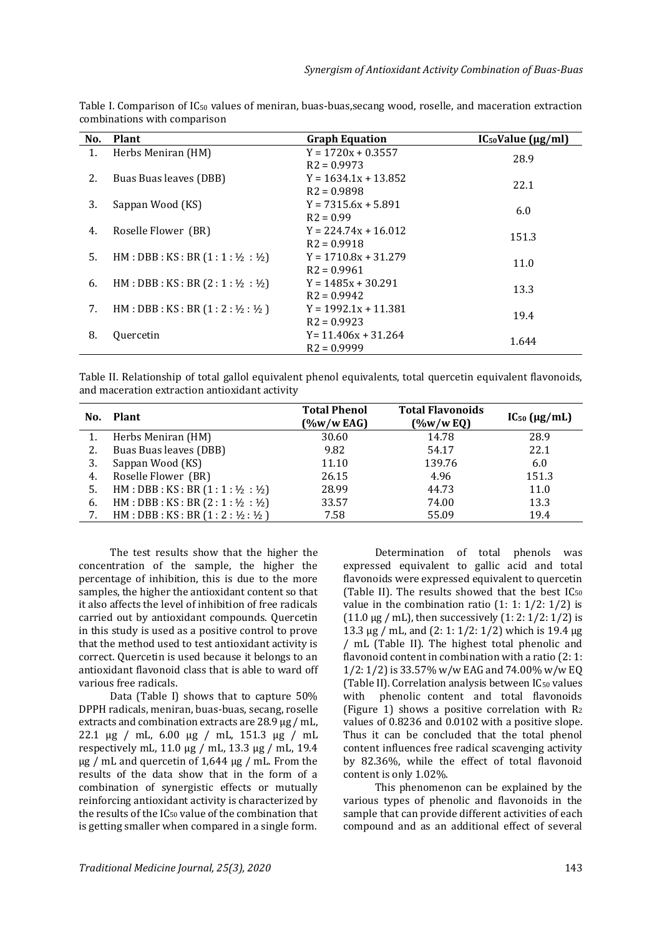| No. | <b>Plant</b>                                            | <b>Graph Equation</b>  | $IC_{50}Value (\mu g/ml)$ |  |
|-----|---------------------------------------------------------|------------------------|---------------------------|--|
| 1.  | Herbs Meniran (HM)                                      | $Y = 1720x + 0.3557$   | 28.9                      |  |
|     |                                                         | $R2 = 0.9973$          |                           |  |
| 2.  | Buas Buas leaves (DBB)                                  | $Y = 1634.1x + 13.852$ | 22.1                      |  |
|     |                                                         | $R2 = 0.9898$          |                           |  |
| 3.  | Sappan Wood (KS)                                        | $Y = 7315.6x + 5.891$  | 6.0                       |  |
|     |                                                         | $R2 = 0.99$            |                           |  |
| 4.  | Roselle Flower (BR)                                     | $Y = 224.74x + 16.012$ | 151.3                     |  |
|     |                                                         | $R2 = 0.9918$          |                           |  |
| 5.  | $HM : DBB : KS : BR(1 : 1 : \frac{1}{2} : \frac{1}{2})$ | $Y = 1710.8x + 31.279$ | 11.0                      |  |
|     |                                                         | $R2 = 0.9961$          |                           |  |
| 6.  | HM: DBB: KS: BR(2:1:1/2:1/2)                            | $Y = 1485x + 30.291$   | 13.3                      |  |
|     |                                                         | $R2 = 0.9942$          |                           |  |
| 7.  | HM : DBB : KS : BR(1 : 2 : 1/2 : 1/2)                   | $Y = 1992.1x + 11.381$ | 19.4                      |  |
|     |                                                         | $R2 = 0.9923$          |                           |  |
| 8.  | Quercetin                                               | $Y = 11.406x + 31.264$ | 1.644                     |  |
|     |                                                         | $R2 = 0.9999$          |                           |  |

Table I. Comparison of  $IC_{50}$  values of meniran, buas-buas, secang wood, roselle, and maceration extraction combinations with comparison

Table II. Relationship of total gallol equivalent phenol equivalents, total quercetin equivalent flavonoids, and maceration extraction antioxidant activity

| No. | Plant                                                   | <b>Total Phenol</b><br>$(\%w/w$ EAG) | <b>Total Flavonoids</b><br>$(\%w/wEQ)$ | $IC_{50}$ ( $\mu$ g/mL) |
|-----|---------------------------------------------------------|--------------------------------------|----------------------------------------|-------------------------|
|     | Herbs Meniran (HM)                                      | 30.60                                | 14.78                                  | 28.9                    |
|     | Buas Buas leaves (DBB)                                  | 9.82                                 | 54.17                                  | 22.1                    |
|     | Sappan Wood (KS)                                        | 11.10                                | 139.76                                 | 6.0                     |
| 4.  | Roselle Flower (BR)                                     | 26.15                                | 4.96                                   | 151.3                   |
|     | $HM : DBB : KS : BR(1 : 1 : \frac{1}{2} : \frac{1}{2})$ | 28.99                                | 44.73                                  | 11.0                    |
| 6.  | HM : DBB : KS : BR(2:1:1/2:1/2)                         | 33.57                                | 74.00                                  | 13.3                    |
|     | HM: DBB: KS: BR(1:2:1/2:1/2)                            | 7.58                                 | 55.09                                  | 19.4                    |

The test results show that the higher the concentration of the sample, the higher the percentage of inhibition, this is due to the more samples, the higher the antioxidant content so that it also affects the level of inhibition of free radicals carried out by antioxidant compounds. Quercetin in this study is used as a positive control to prove that the method used to test antioxidant activity is correct. Quercetin is used because it belongs to an antioxidant flavonoid class that is able to ward off various free radicals.

Data (Table I) shows that to capture 50% DPPH radicals, meniran, buas-buas, secang, roselle extracts and combination extracts are 28.9 µg / mL, 22.1 µg / mL, 6.00 µg / mL, 151.3 µg / mL respectively mL, 11.0 μg / mL, 13.3 μg / mL, 19.4 μg / mL and quercetin of 1,644 μg / mL. From the results of the data show that in the form of a combination of synergistic effects or mutually reinforcing antioxidant activity is characterized by the results of the IC<sup>50</sup> value of the combination that is getting smaller when compared in a single form.

Determination of total phenols was expressed equivalent to gallic acid and total flavonoids were expressed equivalent to quercetin (Table II). The results showed that the best IC<sub>50</sub> value in the combination ratio  $(1: 1: 1/2: 1/2)$  is  $(11.0 \,\mu g$  / mL), then successively  $(1: 2: 1/2: 1/2)$  is 13.3 µg / mL, and (2: 1: 1/2: 1/2) which is 19.4 µg / mL (Table II). The highest total phenolic and flavonoid content in combination with a ratio (2: 1: 1/2: 1/2) is 33.57% w/w EAG and 74.00% w/w EQ (Table II). Correlation analysis between IC<sup>50</sup> values with phenolic content and total flavonoids (Figure 1) shows a positive correlation with  $R_2$ values of 0.8236 and 0.0102 with a positive slope. Thus it can be concluded that the total phenol content influences free radical scavenging activity by 82.36%, while the effect of total flavonoid content is only 1.02%.

This phenomenon can be explained by the various types of phenolic and flavonoids in the sample that can provide different activities of each compound and as an additional effect of several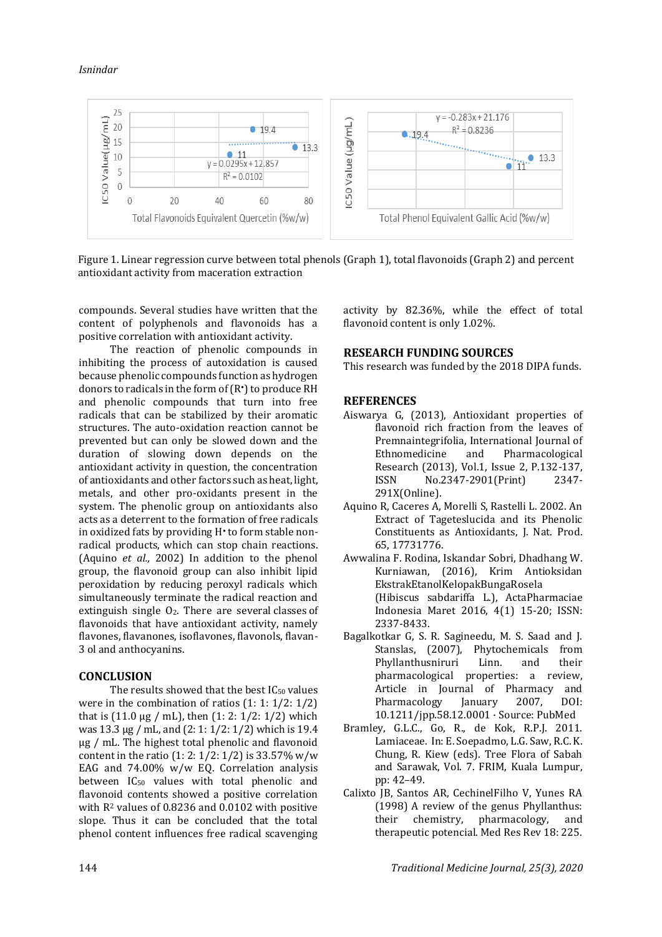## *Isnindar*



Figure 1. Linear regression curve between total phenols (Graph 1), total flavonoids (Graph 2) and percent antioxidant activity from maceration extraction

compounds. Several studies have written that the content of polyphenols and flavonoids has a positive correlation with antioxidant activity.

The reaction of phenolic compounds in inhibiting the process of autoxidation is caused because phenolic compounds function as hydrogen donors to radicals in the form of (R•) to produce RH and phenolic compounds that turn into free radicals that can be stabilized by their aromatic structures. The auto-oxidation reaction cannot be prevented but can only be slowed down and the duration of slowing down depends on the antioxidant activity in question, the concentration of antioxidants and other factors such as heat, light, metals, and other pro-oxidants present in the system. The phenolic group on antioxidants also acts as a deterrent to the formation of free radicals in oxidized fats by providing H• to form stable nonradical products, which can stop chain reactions. (Aquino *et al.,* 2002) In addition to the phenol group, the flavonoid group can also inhibit lipid peroxidation by reducing peroxyl radicals which simultaneously terminate the radical reaction and extinguish single  $O<sub>2</sub>$ . There are several classes of flavonoids that have antioxidant activity, namely flavones, flavanones, isoflavones, flavonols, flavan-3 ol and anthocyanins.

#### **CONCLUSION**

The results showed that the best  $IC_{50}$  values were in the combination of ratios (1: 1: 1/2: 1/2) that is  $(11.0 \mu g / mL)$ , then  $(1: 2: 1/2: 1/2)$  which was 13.3 µg / mL, and (2: 1: 1/2: 1/2) which is 19.4 µg / mL. The highest total phenolic and flavonoid content in the ratio  $(1: 2: 1/2: 1/2)$  is 33.57% w/w EAG and 74.00% w/w EQ. Correlation analysis between IC<sub>50</sub> values with total phenolic and flavonoid contents showed a positive correlation with R<sup>2</sup> values of 0.8236 and 0.0102 with positive slope. Thus it can be concluded that the total phenol content influences free radical scavenging activity by 82.36%, while the effect of total flavonoid content is only 1.02%.

#### **RESEARCH FUNDING SOURCES**

This research was funded by the 2018 DIPA funds.

## **REFERENCES**

- Aiswarya G, (2013), Antioxidant properties of flavonoid rich fraction from the leaves of Premnaintegrifolia, International Journal of Ethnomedicine and Pharmacological Research (2013), Vol.1, Issue 2, P.132-137, ISSN No.2347-2901(Print) 2347- 291X(Online).
- Aquino R, Caceres A, Morelli S, Rastelli L. 2002. An Extract of Tageteslucida and its Phenolic Constituents as Antioxidants, J. Nat. Prod. 65, 17731776.
- Awwalina F. Rodina, Iskandar Sobri, Dhadhang W. Kurniawan, (2016), Krim Antioksidan EkstrakEtanolKelopakBungaRosela (Hibiscus sabdariffa L.), ActaPharmaciae Indonesia Maret 2016, 4(1) 15-20; ISSN: 2337-8433.
- Bagalkotkar G, S. R. Sagineedu, M. S. Saad and J. Stanslas, (2007), Phytochemicals from Phyllanthusniruri Linn. and their pharmacological properties: a review, Article in Journal of Pharmacy and Pharmacology January 2007, DOI: 10.1211/jpp.58.12.0001 · Source: PubMed
- Bramley, G.L.C., Go, R., de Kok, R.P.J. 2011. Lamiaceae. In: E. Soepadmo, L.G. Saw, R.C. K. Chung, R. Kiew (eds). Tree Flora of Sabah and Sarawak, Vol. 7. FRIM, Kuala Lumpur, pp: 42–49.
- Calixto JB, Santos AR, CechinelFilho V, Yunes RA (1998) A review of the genus Phyllanthus: their chemistry, pharmacology, and therapeutic potencial. Med Res Rev 18: 225.